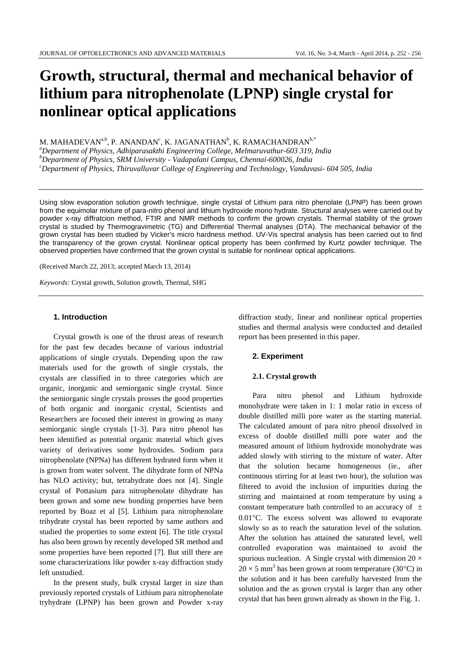# **Growth, structural, thermal and mechanical behavior of lithium para nitrophenolate (LPNP) single crystal for nonlinear optical applications**

M. MAHADEVAN<sup>a,b</sup>, P. ANANDAN°, K. JAGANATHAN<sup>b</sup>, K. RAMACHANDRAN<sup>b,\*</sup>

*<sup>a</sup>Department of Physics, Adhiparasakthi Engineering College, Melmaruvathur-603 319, India <sup>b</sup>Department of Physics, SRM University - Vadapalani Campus, Chennai-600026, India <sup>c</sup>Department of Physics, Thiruvalluvar College of Engineering and Technology, Vandavasi- 604 505, India*

Using slow evaporation solution growth technique, single crystal of Lithium para nitro phenolate (LPNP) has been grown from the equimolar mixture of para-nitro phenol and lithium hydroxide mono hydrate. Structural analyses were carried out by powder x-ray diffratcion method, FTIR and NMR methods to confirm the grown crystals. Thermal stability of the grown crystal is studied by Thermogravimetric (TG) and Differential Thermal analyses (DTA). The mechanical behavior of the grown crystal has been studied by Vicker's micro hardness method. UV-Vis spectral analysis has been carried out to find the transparency of the grown crystal. Nonlinear optical property has been confirmed by Kurtz powder technique. The observed properties have confirmed that the grown crystal is suitable for nonlinear optical applications.

(Received March 22, 2013; accepted March 13, 2014)

*Keywords:* Crystal growth, Solution growth, Thermal, SHG

## **1. Introduction**

Crystal growth is one of the thrust areas of research for the past few decades because of various industrial applications of single crystals. Depending upon the raw materials used for the growth of single crystals, the crystals are classified in to three categories which are organic, inorganic and semiorganic single crystal. Since the semiorganic single crystals prosses the good properties of both organic and inorganic crystal, Scientists and Researchers are focused their interest in growing as many semiorganic single crystals [1-3]. Para nitro phenol has been identified as potential organic material which gives variety of derivatives some hydroxides. Sodium para nitrophenolate (NPNa) has different hydrated form when it is grown from water solvent. The dihydrate form of NPNa has NLO activity; but, tetrahydrate does not [4]. Single crystal of Pottasium para nitrophenolate dihydrate has been grown and some new bonding properties have been reported by Boaz et al [5]. Lithium para nitrophenolate trihydrate crystal has been reported by same authors and studied the properties to some extent [6]. The title crystal has also been grown by recently developed SR method and some properties have been reported [7]. But still there are some characterizations like powder x-ray diffraction study left unstudied.

In the present study, bulk crystal larger in size than previously reported crystals of Lithium para nitrophenolate tryhydrate (LPNP) has been grown and Powder x-ray

diffraction study, linear and nonlinear optical properties studies and thermal analysis were conducted and detailed report has been presented in this paper.

#### **2. Experiment**

# **2.1. Crystal growth**

Para nitro phenol and Lithium hydroxide monohydrate were taken in 1: 1 molar ratio in excess of double distilled milli pore water as the starting material. The calculated amount of para nitro phenol dissolved in excess of double distilled milli pore water and the measured amount of lithium hydroxide monohydrate was added slowly with stirring to the mixture of water. After that the solution became homogeneous (ie., after continuous stirring for at least two hour), the solution was filtered to avoid the inclusion of impurities during the stirring and maintained at room temperature by using a constant temperature bath controlled to an accuracy of  $\pm$  $0.01^{\circ}$ C. The excess solvent was allowed to evaporate slowly so as to reach the saturation level of the solution. After the solution has attained the saturated level, well controlled evaporation was maintained to avoid the spurious nucleation. A Single crystal with dimension  $20 \times$  $20 \times 5$  mm<sup>3</sup> has been grown at room temperature (30 °C) in the solution and it has been carefully harvested from the solution and the as grown crystal is larger than any other crystal that has been grown already as shown in the Fig. 1.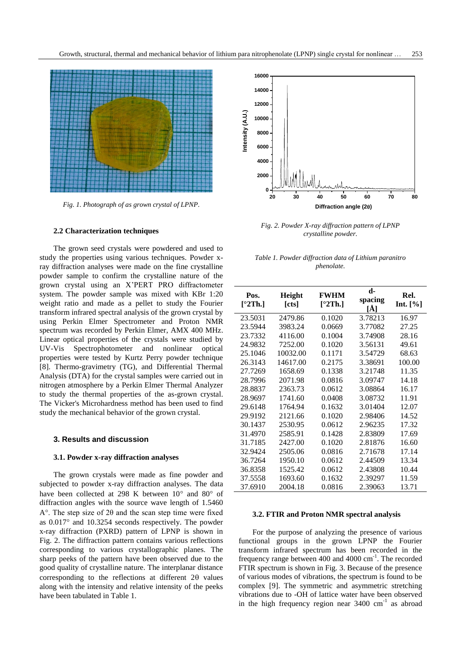

*Fig. 1. Photograph of as grown crystal of LPNP.*

#### **2.2 Characterization techniques**

The grown seed crystals were powdered and used to study the properties using various techniques. Powder xray diffraction analyses were made on the fine crystalline powder sample to confirm the crystalline nature of the grown crystal using an X'PERT PRO diffractometer system. The powder sample was mixed with KBr 1:20 weight ratio and made as a pellet to study the Fourier transform infrared spectral analysis of the grown crystal by using Perkin Elmer Spectrometer and Proton NMR spectrum was recorded by Perkin Elmer, AMX 400 MHz. Linear optical properties of the crystals were studied by UV-Vis Spectrophotometer and nonlinear optical properties were tested by Kurtz Perry powder technique [8]. Thermo-gravimetry (TG), and Differential Thermal Analysis (DTA) for the crystal samples were carried out in nitrogen atmosphere by a Perkin Elmer Thermal Analyzer to study the thermal properties of the as-grown crystal. The Vicker's Microhardness method has been used to find study the mechanical behavior of the grown crystal.

# **3. Results and discussion**

## **3.1. Powder x-ray diffraction analyses**

The grown crystals were made as fine powder and subjected to powder x-ray diffraction analyses. The data have been collected at 298 K between  $10^{\circ}$  and  $80^{\circ}$  of diffraction angles with the source wave length of 1.5460  $A^{\circ}$ . The step size of 2 $\theta$  and the scan step time were fixed as  $0.017$ ° and  $10.3254$  seconds respectively. The powder x-ray diffraction (PXRD) pattern of LPNP is shown in Fig. 2. The diffraction pattern contains various reflections corresponding to various crystallographic planes. The sharp peeks of the pattern have been observed due to the good quality of crystalline nature. The interplanar distance corresponding to the reflections at different  $2\theta$  values along with the intensity and relative intensity of the peeks have been tabulated in Table 1.



*Fig. 2. Powder X-ray diffraction pattern of LPNP crystalline powder.*

| Table 1. Powder diffraction data of Lithium paranitro |  |
|-------------------------------------------------------|--|
| <i>phenolate.</i>                                     |  |

| Pos.<br>$[^{\circ}2Th.]$ | Height<br>[cts] | <b>FWHM</b><br>$[^{\circ}2Th.]$ | d-<br>spacing<br>[Ă] | Rel.<br>Int. $[\%]$ |
|--------------------------|-----------------|---------------------------------|----------------------|---------------------|
| 23.5031                  | 2479.86         | 0.1020                          | 3.78213              | 16.97               |
| 23.5944                  | 3983.24         | 0.0669                          | 3.77082              | 27.25               |
| 23.7332                  | 4116.00         | 0.1004                          | 3.74908              | 28.16               |
| 24.9832                  | 7252.00         | 0.1020                          | 3.56131              | 49.61               |
| 25.1046                  | 10032.00        | 0.1171                          | 3.54729              | 68.63               |
| 26.3143                  | 14617.00        | 0.2175                          | 3.38691              | 100.00              |
| 27.7269                  | 1658.69         | 0.1338                          | 3.21748              | 11.35               |
| 28.7996                  | 2071.98         | 0.0816                          | 3.09747              | 14.18               |
| 28.8837                  | 2363.73         | 0.0612                          | 3.08864              | 16.17               |
| 28.9697                  | 1741.60         | 0.0408                          | 3.08732              | 11.91               |
| 29.6148                  | 1764.94         | 0.1632                          | 3.01404              | 12.07               |
| 29.9192                  | 2121.66         | 0.1020                          | 2.98406              | 14.52               |
| 30.1437                  | 2530.95         | 0.0612                          | 2.96235              | 17.32               |
| 31.4970                  | 2585.91         | 0.1428                          | 2.83809              | 17.69               |
| 31.7185                  | 2427.00         | 0.1020                          | 2.81876              | 16.60               |
| 32.9424                  | 2505.06         | 0.0816                          | 2.71678              | 17.14               |
| 36.7264                  | 1950.10         | 0.0612                          | 2.44509              | 13.34               |
| 36.8358                  | 1525.42         | 0.0612                          | 2.43808              | 10.44               |
| 37.5558                  | 1693.60         | 0.1632                          | 2.39297              | 11.59               |
| 37.6910                  | 2004.18         | 0.0816                          | 2.39063              | 13.71               |

#### **3.2. FTIR and Proton NMR spectral analysis**

For the purpose of analyzing the presence of various functional groups in the grown LPNP the Fourier transform infrared spectrum has been recorded in the frequency range between 400 and 4000 cm<sup>-1</sup>. The recorded FTIR spectrum is shown in Fig. 3. Because of the presence of various modes of vibrations, the spectrum is found to be complex [9]. The symmetric and asymmetric stretching vibrations due to -OH of lattice water have been observed in the high frequency region near  $3400 \text{ cm}^{-1}$  as abroad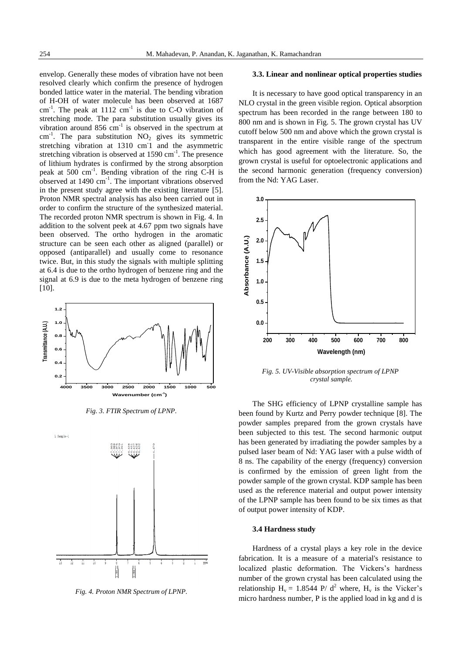envelop. Generally these modes of vibration have not been resolved clearly which confirm the presence of hydrogen bonded lattice water in the material. The bending vibration of H-OH of water molecule has been observed at 1687  $cm<sup>-1</sup>$ . The peak at 1112  $cm<sup>-1</sup>$  is due to C-O vibration of stretching mode. The para substitution usually gives its vibration around  $856 \text{ cm}^{-1}$  is observed in the spectrum at  $cm^{-1}$ . The para substitution NO<sub>2</sub> gives its symmetric stretching vibration at 1310 cm<sup>-1</sup> and the asymmetric stretching vibration is observed at  $1590 \text{ cm}^{-1}$ . The presence of lithium hydrates is confirmed by the strong absorption peak at 500 cm<sup>-1</sup>. Bending vibration of the ring C-H is observed at 1490 cm<sup>-1</sup>. The important vibrations observed in the present study agree with the existing literature [5]. Proton NMR spectral analysis has also been carried out in order to confirm the structure of the synthesized material. The recorded proton NMR spectrum is shown in Fig. 4. In addition to the solvent peek at 4.67 ppm two signals have been observed. The ortho hydrogen in the aromatic structure can be seen each other as aligned (parallel) or opposed (antiparallel) and usually come to resonance twice. But, in this study the signals with multiple splitting at 6.4 is due to the ortho hydrogen of benzene ring and the signal at 6.9 is due to the meta hydrogen of benzene ring [10].







*Fig. 4. Proton NMR Spectrum of LPNP.*

#### **3.3. Linear and nonlinear optical properties studies**

It is necessary to have good optical transparency in an NLO crystal in the green visible region. Optical absorption spectrum has been recorded in the range between 180 to 800 nm and is shown in Fig. 5. The grown crystal has UV cutoff below 500 nm and above which the grown crystal is transparent in the entire visible range of the spectrum which has good agreement with the literature. So, the grown crystal is useful for optoelectronic applications and the second harmonic generation (frequency conversion) from the Nd: YAG Laser.



*Fig. 5. UV-Visible absorption spectrum of LPNP crystal sample.*

The SHG efficiency of LPNP crystalline sample has been found by Kurtz and Perry powder technique [8]. The powder samples prepared from the grown crystals have been subjected to this test. The second harmonic output has been generated by irradiating the powder samples by a pulsed laser beam of Nd: YAG laser with a pulse width of 8 ns. The capability of the energy (frequency) conversion is confirmed by the emission of green light from the powder sample of the grown crystal. KDP sample has been used as the reference material and output power intensity of the LPNP sample has been found to be six times as that of output power intensity of KDP.

#### **3.4 Hardness study**

Hardness of a crystal plays a key role in the device fabrication. It is a measure of a material's resistance to localized plastic deformation. The Vickers's hardness number of the grown crystal has been calculated using the relationship H<sub>v</sub> = 1.8544 P/ d<sup>2</sup> where, H<sub>v</sub> is the Vicker's micro hardness number, P is the applied load in kg and d is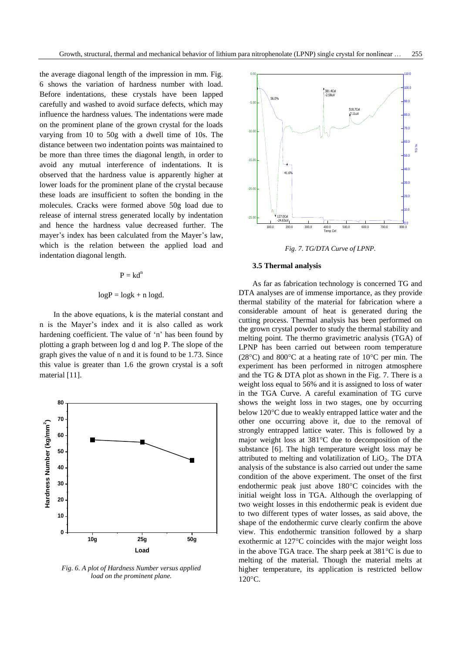the average diagonal length of the impression in mm. Fig. 6 shows the variation of hardness number with load. Before indentations, these crystals have been lapped carefully and washed to avoid surface defects, which may influence the hardness values. The indentations were made on the prominent plane of the grown crystal for the loads varying from 10 to 50g with a dwell time of 10s. The distance between two indentation points was maintained to be more than three times the diagonal length, in order to avoid any mutual interference of indentations. It is observed that the hardness value is apparently higher at lower loads for the prominent plane of the crystal because these loads are insufficient to soften the bonding in the molecules. Cracks were formed above 50g load due to release of internal stress generated locally by indentation and hence the hardness value decreased further. The mayer's index has been calculated from the Mayer's law, which is the relation between the applied load and indentation diagonal length.

# $P = kd^n$

## $logP = logk + n logd$ .

In the above equations, k is the material constant and n is the Mayer's index and it is also called as work hardening coefficient. The value of 'n' has been found by plotting a graph between log d and log P. The slope of the graph gives the value of n and it is found to be 1.73. Since this value is greater than 1.6 the grown crystal is a soft material [11].



*Fig. 6. A plot of Hardness Number versus applied load on the prominent plane.*



*Fig. 7. TG/DTA Curve of LPNP.*

## **3.5 Thermal analysis**

As far as fabrication technology is concerned TG and DTA analyses are of immense importance, as they provide thermal stability of the material for fabrication where a considerable amount of heat is generated during the cutting process. Thermal analysis has been performed on the grown crystal powder to study the thermal stability and melting point. The thermo gravimetric analysis (TGA) of LPNP has been carried out between room temperature (28 $\degree$ C) and 800 $\degree$ C at a heating rate of 10 $\degree$ C per min. The experiment has been performed in nitrogen atmosphere and the TG & DTA plot as shown in the Fig. 7. There is a weight loss equal to 56% and it is assigned to loss of water in the TGA Curve. A careful examination of TG curve shows the weight loss in two stages, one by occurring below 120 °C due to weakly entrapped lattice water and the other one occurring above it, due to the removal of strongly entrapped lattice water. This is followed by a major weight loss at  $381^{\circ}$ C due to decomposition of the substance [6]. The high temperature weight loss may be attributed to melting and volatilization of  $LiO<sub>2</sub>$ . The DTA analysis of the substance is also carried out under the same condition of the above experiment. The onset of the first endothermic peak just above  $180^{\circ}$ C coincides with the initial weight loss in TGA. Although the overlapping of two weight losses in this endothermic peak is evident due to two different types of water losses, as said above, the shape of the endothermic curve clearly confirm the above view. This endothermic transition followed by a sharp exothermic at  $127^{\circ}$ C coincides with the major weight loss in the above TGA trace. The sharp peek at  $381^{\circ}$ C is due to melting of the material. Though the material melts at higher temperature, its application is restricted bellow 120°C.